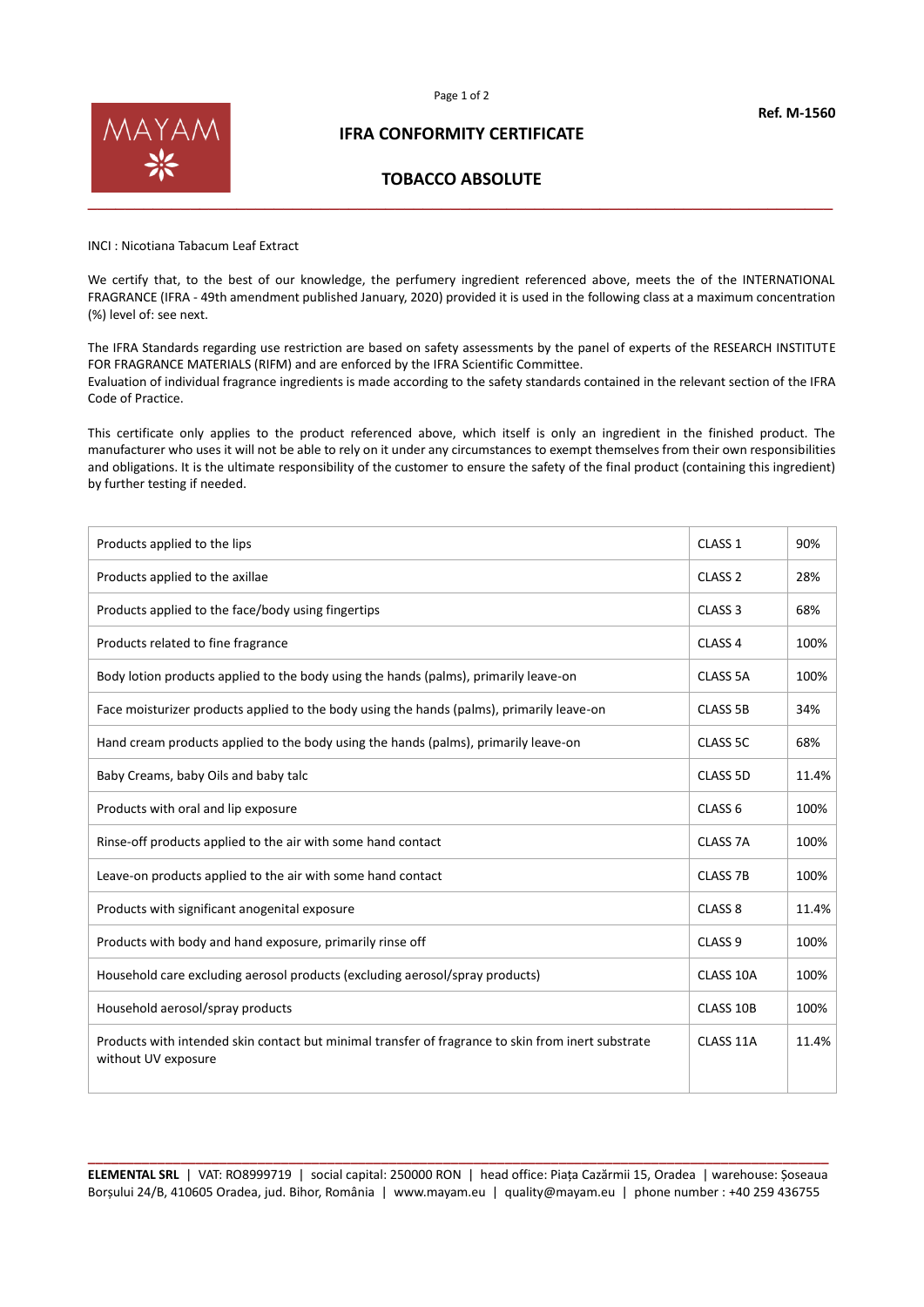



# **IFRA CONFORMITY CERTIFICATE**

# **TOBACCO ABSOLUTE**

INCI : Nicotiana Tabacum Leaf Extract

We certify that, to the best of our knowledge, the perfumery ingredient referenced above, meets the of the INTERNATIONAL FRAGRANCE (IFRA - 49th amendment published January, 2020) provided it is used in the following class at a maximum concentration (%) level of: see next.

The IFRA Standards regarding use restriction are based on safety assessments by the panel of experts of the RESEARCH INSTITUTE FOR FRAGRANCE MATERIALS (RIFM) and are enforced by the IFRA Scientific Committee. Evaluation of individual fragrance ingredients is made according to the safety standards contained in the relevant section of the IFRA Code of Practice.

This certificate only applies to the product referenced above, which itself is only an ingredient in the finished product. The manufacturer who uses it will not be able to rely on it under any circumstances to exempt themselves from their own responsibilities and obligations. It is the ultimate responsibility of the customer to ensure the safety of the final product (containing this ingredient) by further testing if needed.

| Products applied to the lips                                                                                              | CLASS <sub>1</sub>  | 90%   |
|---------------------------------------------------------------------------------------------------------------------------|---------------------|-------|
| Products applied to the axillae                                                                                           | CLASS <sub>2</sub>  | 28%   |
| Products applied to the face/body using fingertips                                                                        | CLASS <sub>3</sub>  | 68%   |
| Products related to fine fragrance                                                                                        | CLASS <sub>4</sub>  | 100%  |
| Body lotion products applied to the body using the hands (palms), primarily leave-on                                      | CLASS 5A            | 100%  |
| Face moisturizer products applied to the body using the hands (palms), primarily leave-on                                 | <b>CLASS 5B</b>     | 34%   |
| Hand cream products applied to the body using the hands (palms), primarily leave-on                                       | CLASS 5C            | 68%   |
| Baby Creams, baby Oils and baby talc                                                                                      | CLASS 5D            | 11.4% |
| Products with oral and lip exposure                                                                                       | CLASS <sub>6</sub>  | 100%  |
| Rinse-off products applied to the air with some hand contact                                                              | CLASS <sub>7A</sub> | 100%  |
| Leave-on products applied to the air with some hand contact                                                               | CLASS <sub>7B</sub> | 100%  |
| Products with significant anogenital exposure                                                                             | CLASS <sub>8</sub>  | 11.4% |
| Products with body and hand exposure, primarily rinse off                                                                 | CLASS <sub>9</sub>  | 100%  |
| Household care excluding aerosol products (excluding aerosol/spray products)                                              | CLASS 10A           | 100%  |
| Household aerosol/spray products                                                                                          | CLASS 10B           | 100%  |
| Products with intended skin contact but minimal transfer of fragrance to skin from inert substrate<br>without UV exposure | CLASS 11A           | 11.4% |

**\_\_\_\_\_\_\_\_\_\_\_\_\_\_\_\_\_\_\_\_\_\_\_\_\_\_\_\_\_\_\_\_\_\_\_\_\_\_\_\_\_\_\_\_\_\_\_\_\_\_\_\_\_\_\_\_\_\_\_\_\_\_\_\_\_\_\_\_\_\_\_\_\_\_\_\_\_\_\_\_\_\_\_\_\_\_\_\_\_\_\_\_\_\_\_\_ ELEMENTAL SRL** | VAT: RO8999719 | social capital: 250000 RON | head office: Piața Cazărmii 15, Oradea | warehouse: Șoseaua Borșului 24/B, 410605 Oradea, jud. Bihor, România | www.mayam.eu | quality@mayam.eu | phone number : +40 259 436755